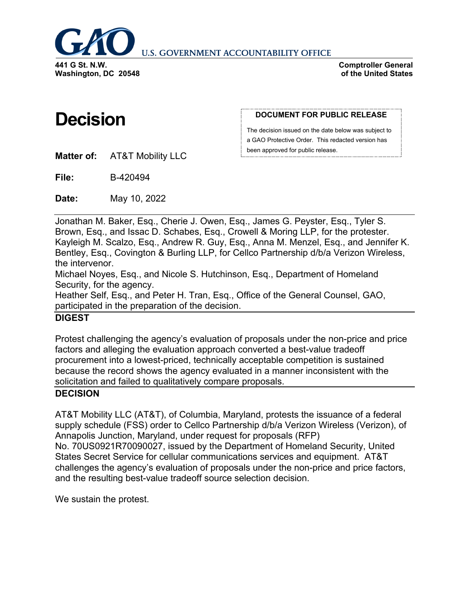

**U.S. GOVERNMENT ACCOUNTABILITY OFFICE** 

**Comptroller General of the United States**

# **Decision**

#### **DOCUMENT FOR PUBLIC RELEASE**

The decision issued on the date below was subject to a GAO Protective Order. This redacted version has been approved for public release.

**Matter of:** AT&T Mobility LLC

**File:** B-420494

**Date:** May 10, 2022

Jonathan M. Baker, Esq., Cherie J. Owen, Esq., James G. Peyster, Esq., Tyler S. Brown, Esq., and Issac D. Schabes, Esq., Crowell & Moring LLP, for the protester. Kayleigh M. Scalzo, Esq., Andrew R. Guy, Esq., Anna M. Menzel, Esq., and Jennifer K. Bentley, Esq., Covington & Burling LLP, for Cellco Partnership d/b/a Verizon Wireless, the intervenor.

Michael Noyes, Esq., and Nicole S. Hutchinson, Esq., Department of Homeland Security, for the agency.

Heather Self, Esq., and Peter H. Tran, Esq., Office of the General Counsel, GAO, participated in the preparation of the decision.

# **DIGEST**

Protest challenging the agency's evaluation of proposals under the non-price and price factors and alleging the evaluation approach converted a best-value tradeoff procurement into a lowest-priced, technically acceptable competition is sustained because the record shows the agency evaluated in a manner inconsistent with the solicitation and failed to qualitatively compare proposals.

# **DECISION**

AT&T Mobility LLC (AT&T), of Columbia, Maryland, protests the issuance of a federal supply schedule (FSS) order to Cellco Partnership d/b/a Verizon Wireless (Verizon), of Annapolis Junction, Maryland, under request for proposals (RFP) No. 70US0921R70090027, issued by the Department of Homeland Security, United States Secret Service for cellular communications services and equipment. AT&T challenges the agency's evaluation of proposals under the non-price and price factors, and the resulting best-value tradeoff source selection decision.

We sustain the protest.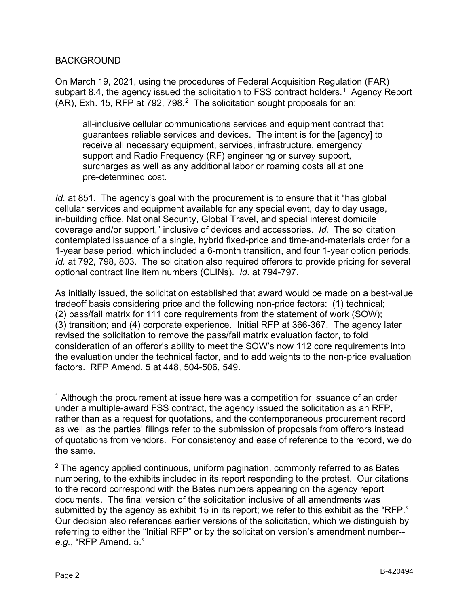# BACKGROUND

On March 19, 2021, using the procedures of Federal Acquisition Regulation (FAR) subpart 8.4, the agency issued the solicitation to FSS contract holders.<sup>1</sup> Agency Report (AR), Exh. 15, RFP at 79[2](#page-1-1), 798. $^2$  The solicitation sought proposals for an:

all-inclusive cellular communications services and equipment contract that guarantees reliable services and devices. The intent is for the [agency] to receive all necessary equipment, services, infrastructure, emergency support and Radio Frequency (RF) engineering or survey support, surcharges as well as any additional labor or roaming costs all at one pre-determined cost.

*Id.* at 851. The agency's goal with the procurement is to ensure that it "has global cellular services and equipment available for any special event, day to day usage, in-building office, National Security, Global Travel, and special interest domicile coverage and/or support," inclusive of devices and accessories. *Id.* The solicitation contemplated issuance of a single, hybrid fixed-price and time-and-materials order for a 1-year base period, which included a 6-month transition, and four 1-year option periods. *Id.* at 792, 798, 803. The solicitation also required offerors to provide pricing for several optional contract line item numbers (CLINs). *Id.* at 794-797.

As initially issued, the solicitation established that award would be made on a best-value tradeoff basis considering price and the following non-price factors: (1) technical; (2) pass/fail matrix for 111 core requirements from the statement of work (SOW); (3) transition; and (4) corporate experience. Initial RFP at 366-367. The agency later revised the solicitation to remove the pass/fail matrix evaluation factor, to fold consideration of an offeror's ability to meet the SOW's now 112 core requirements into the evaluation under the technical factor, and to add weights to the non-price evaluation factors. RFP Amend. 5 at 448, 504-506, 549.

-

<span id="page-1-0"></span> $<sup>1</sup>$  Although the procurement at issue here was a competition for issuance of an order</sup> under a multiple-award FSS contract, the agency issued the solicitation as an RFP, rather than as a request for quotations, and the contemporaneous procurement record as well as the parties' filings refer to the submission of proposals from offerors instead of quotations from vendors. For consistency and ease of reference to the record, we do the same.

<span id="page-1-1"></span> $2$  The agency applied continuous, uniform pagination, commonly referred to as Bates numbering, to the exhibits included in its report responding to the protest. Our citations to the record correspond with the Bates numbers appearing on the agency report documents. The final version of the solicitation inclusive of all amendments was submitted by the agency as exhibit 15 in its report; we refer to this exhibit as the "RFP." Our decision also references earlier versions of the solicitation, which we distinguish by referring to either the "Initial RFP" or by the solicitation version's amendment number- *e.g.*, "RFP Amend. 5."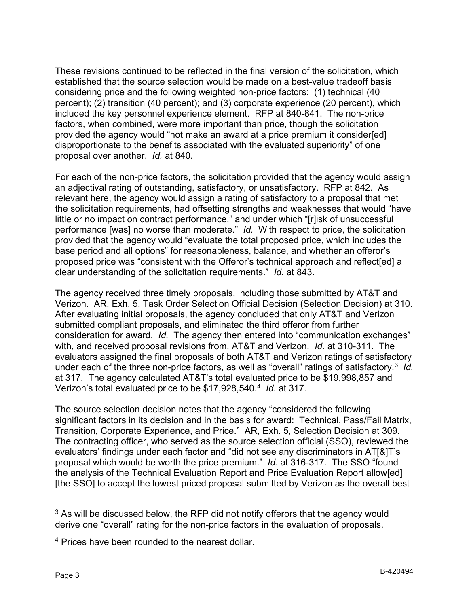These revisions continued to be reflected in the final version of the solicitation, which established that the source selection would be made on a best-value tradeoff basis considering price and the following weighted non-price factors: (1) technical (40 percent); (2) transition (40 percent); and (3) corporate experience (20 percent), which included the key personnel experience element. RFP at 840-841. The non-price factors, when combined, were more important than price, though the solicitation provided the agency would "not make an award at a price premium it consider[ed] disproportionate to the benefits associated with the evaluated superiority" of one proposal over another. *Id.* at 840.

For each of the non-price factors, the solicitation provided that the agency would assign an adjectival rating of outstanding, satisfactory, or unsatisfactory. RFP at 842. As relevant here, the agency would assign a rating of satisfactory to a proposal that met the solicitation requirements, had offsetting strengths and weaknesses that would "have little or no impact on contract performance," and under which "[r]isk of unsuccessful performance [was] no worse than moderate." *Id.* With respect to price, the solicitation provided that the agency would "evaluate the total proposed price, which includes the base period and all options" for reasonableness, balance, and whether an offeror's proposed price was "consistent with the Offeror's technical approach and reflect[ed] a clear understanding of the solicitation requirements." *Id.* at 843.

The agency received three timely proposals, including those submitted by AT&T and Verizon. AR, Exh. 5, Task Order Selection Official Decision (Selection Decision) at 310. After evaluating initial proposals, the agency concluded that only AT&T and Verizon submitted compliant proposals, and eliminated the third offeror from further consideration for award. *Id.* The agency then entered into "communication exchanges" with, and received proposal revisions from, AT&T and Verizon. *Id.* at 310-311. The evaluators assigned the final proposals of both AT&T and Verizon ratings of satisfactory under each of the three non-price factors, as well as "overall" ratings of satisfactory. [3](#page-2-0) *Id.* at 317. The agency calculated AT&T's total evaluated price to be \$19,998,857 and Verizon's total evaluated price to be \$17,928,540. [4](#page-2-1) *Id.* at 317.

The source selection decision notes that the agency "considered the following significant factors in its decision and in the basis for award: Technical, Pass/Fail Matrix, Transition, Corporate Experience, and Price." AR, Exh. 5, Selection Decision at 309. The contracting officer, who served as the source selection official (SSO), reviewed the evaluators' findings under each factor and "did not see any discriminators in AT[&]T's proposal which would be worth the price premium." *Id.* at 316-317. The SSO "found the analysis of the Technical Evaluation Report and Price Evaluation Report allow[ed] [the SSO] to accept the lowest priced proposal submitted by Verizon as the overall best

<span id="page-2-0"></span><sup>&</sup>lt;sup>3</sup> As will be discussed below, the RFP did not notify offerors that the agency would derive one "overall" rating for the non-price factors in the evaluation of proposals.

<span id="page-2-1"></span><sup>4</sup> Prices have been rounded to the nearest dollar.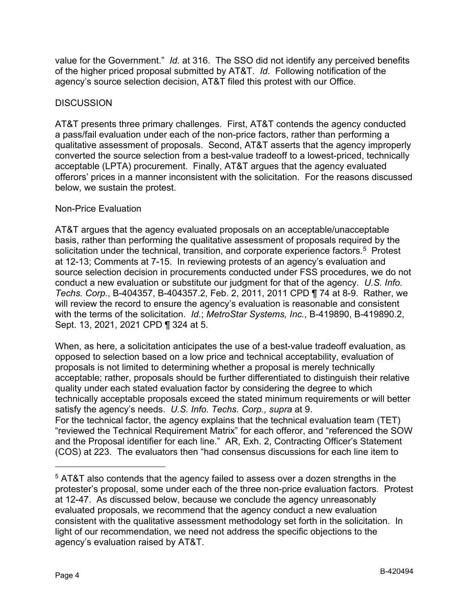value for the Government." *Id.* at 316. The SSO did not identify any perceived benefits of the higher priced proposal submitted by AT&T. *Id.* Following notification of the agency's source selection decision, AT&T filed this protest with our Office.

# **DISCUSSION**

AT&T presents three primary challenges. First, AT&T contends the agency conducted a pass/fail evaluation under each of the non-price factors, rather than performing a qualitative assessment of proposals. Second, AT&T asserts that the agency improperly converted the source selection from a best-value tradeoff to a lowest-priced, technically acceptable (LPTA) procurement. Finally, AT&T argues that the agency evaluated offerors' prices in a manner inconsistent with the solicitation. For the reasons discussed below, we sustain the protest.

# Non-Price Evaluation

AT&T argues that the agency evaluated proposals on an acceptable/unacceptable basis, rather than performing the qualitative assessment of proposals required by the solicitation under the technical, transition, and corporate experience factors.<sup>[5](#page-3-0)</sup> Protest at 12-13; Comments at 7-15. In reviewing protests of an agency's evaluation and source selection decision in procurements conducted under FSS procedures, we do not conduct a new evaluation or substitute our judgment for that of the agency. *U.S. Info. Techs. Corp.*, B-404357, B-404357.2, Feb. 2, 2011, 2011 CPD ¶ 74 at 8-9. Rather, we will review the record to ensure the agency's evaluation is reasonable and consistent with the terms of the solicitation. *Id.*; *MetroStar Systems, Inc.*, B-419890, B-419890.2, Sept. 13, 2021, 2021 CPD ¶ 324 at 5.

When, as here, a solicitation anticipates the use of a best-value tradeoff evaluation, as opposed to selection based on a low price and technical acceptability, evaluation of proposals is not limited to determining whether a proposal is merely technically acceptable; rather, proposals should be further differentiated to distinguish their relative quality under each stated evaluation factor by considering the degree to which technically acceptable proposals exceed the stated minimum requirements or will better satisfy the agency's needs. *U.S. Info. Techs. Corp., supra* at 9. For the technical factor, the agency explains that the technical evaluation team (TET) "reviewed the Technical Requirement Matrix" for each offeror, and "referenced the SOW and the Proposal identifier for each line." AR, Exh. 2, Contracting Officer's Statement (COS) at 223. The evaluators then "had consensus discussions for each line item to

<u>.</u>

<span id="page-3-0"></span><sup>&</sup>lt;sup>5</sup> AT&T also contends that the agency failed to assess over a dozen strengths in the protester's proposal, some under each of the three non-price evaluation factors. Protest at 12-47. As discussed below, because we conclude the agency unreasonably evaluated proposals, we recommend that the agency conduct a new evaluation consistent with the qualitative assessment methodology set forth in the solicitation. In light of our recommendation, we need not address the specific objections to the agency's evaluation raised by AT&T.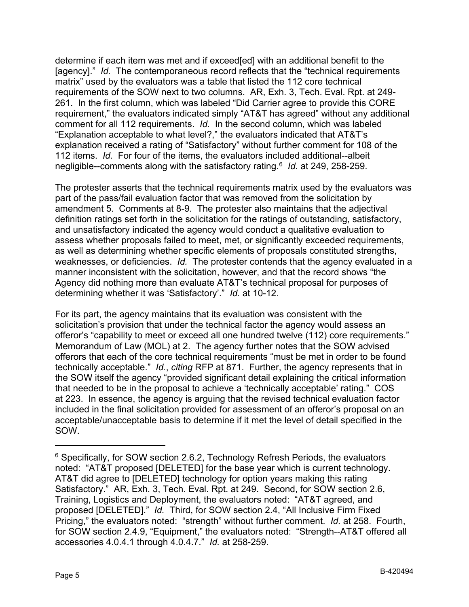determine if each item was met and if exceed[ed] with an additional benefit to the [agency]." *Id.* The contemporaneous record reflects that the "technical requirements matrix" used by the evaluators was a table that listed the 112 core technical requirements of the SOW next to two columns. AR, Exh. 3, Tech. Eval. Rpt. at 249- 261. In the first column, which was labeled "Did Carrier agree to provide this CORE requirement," the evaluators indicated simply "AT&T has agreed" without any additional comment for all 112 requirements. *Id.* In the second column, which was labeled "Explanation acceptable to what level?," the evaluators indicated that AT&T's explanation received a rating of "Satisfactory" without further comment for 108 of the 112 items. *Id.* For four of the items, the evaluators included additional--albeit negligible--comments along with the satisfactory rating. [6](#page-4-0) *Id.* at 249, 258-259.

The protester asserts that the technical requirements matrix used by the evaluators was part of the pass/fail evaluation factor that was removed from the solicitation by amendment 5. Comments at 8-9. The protester also maintains that the adjectival definition ratings set forth in the solicitation for the ratings of outstanding, satisfactory, and unsatisfactory indicated the agency would conduct a qualitative evaluation to assess whether proposals failed to meet, met, or significantly exceeded requirements, as well as determining whether specific elements of proposals constituted strengths, weaknesses, or deficiencies. *Id.* The protester contends that the agency evaluated in a manner inconsistent with the solicitation, however, and that the record shows "the Agency did nothing more than evaluate AT&T's technical proposal for purposes of determining whether it was 'Satisfactory'." *Id.* at 10-12.

For its part, the agency maintains that its evaluation was consistent with the solicitation's provision that under the technical factor the agency would assess an offeror's "capability to meet or exceed all one hundred twelve (112) core requirements." Memorandum of Law (MOL) at 2. The agency further notes that the SOW advised offerors that each of the core technical requirements "must be met in order to be found technically acceptable." *Id.*, *citing* RFP at 871. Further, the agency represents that in the SOW itself the agency "provided significant detail explaining the critical information that needed to be in the proposal to achieve a 'technically acceptable' rating." COS at 223. In essence, the agency is arguing that the revised technical evaluation factor included in the final solicitation provided for assessment of an offeror's proposal on an acceptable/unacceptable basis to determine if it met the level of detail specified in the SOW.

-

<span id="page-4-0"></span> $6$  Specifically, for SOW section 2.6.2, Technology Refresh Periods, the evaluators noted: "AT&T proposed [DELETED] for the base year which is current technology. AT&T did agree to [DELETED] technology for option years making this rating Satisfactory." AR, Exh. 3, Tech. Eval. Rpt. at 249. Second, for SOW section 2.6, Training, Logistics and Deployment, the evaluators noted: "AT&T agreed, and proposed [DELETED]." *Id.* Third, for SOW section 2.4, "All Inclusive Firm Fixed Pricing," the evaluators noted: "strength" without further comment. *Id.* at 258. Fourth, for SOW section 2.4.9, "Equipment," the evaluators noted: "Strength--AT&T offered all accessories 4.0.4.1 through 4.0.4.7." *Id.* at 258-259.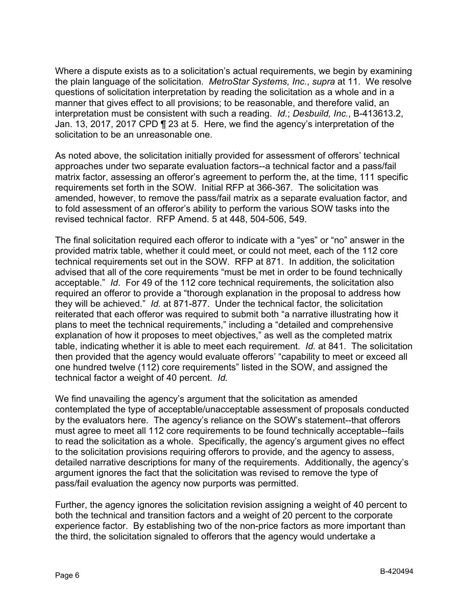Where a dispute exists as to a solicitation's actual requirements, we begin by examining the plain language of the solicitation. *MetroStar Systems, Inc.*, *supra* at 11. We resolve questions of solicitation interpretation by reading the solicitation as a whole and in a manner that gives effect to all provisions; to be reasonable, and therefore valid, an interpretation must be consistent with such a reading. *Id.*; *Desbuild, Inc.*, B-413613.2, Jan. 13, 2017, 2017 CPD ¶ 23 at 5. Here, we find the agency's interpretation of the solicitation to be an unreasonable one.

As noted above, the solicitation initially provided for assessment of offerors' technical approaches under two separate evaluation factors--a technical factor and a pass/fail matrix factor, assessing an offeror's agreement to perform the, at the time, 111 specific requirements set forth in the SOW. Initial RFP at 366-367. The solicitation was amended, however, to remove the pass/fail matrix as a separate evaluation factor, and to fold assessment of an offeror's ability to perform the various SOW tasks into the revised technical factor. RFP Amend. 5 at 448, 504-506, 549.

The final solicitation required each offeror to indicate with a "yes" or "no" answer in the provided matrix table, whether it could meet, or could not meet, each of the 112 core technical requirements set out in the SOW. RFP at 871. In addition, the solicitation advised that all of the core requirements "must be met in order to be found technically acceptable." *Id*. For 49 of the 112 core technical requirements, the solicitation also required an offeror to provide a "thorough explanation in the proposal to address how they will be achieved." *Id.* at 871-877. Under the technical factor, the solicitation reiterated that each offeror was required to submit both "a narrative illustrating how it plans to meet the technical requirements," including a "detailed and comprehensive explanation of how it proposes to meet objectives," as well as the completed matrix table, indicating whether it is able to meet each requirement. *Id.* at 841. The solicitation then provided that the agency would evaluate offerors' "capability to meet or exceed all one hundred twelve (112) core requirements" listed in the SOW, and assigned the technical factor a weight of 40 percent. *Id.*

We find unavailing the agency's argument that the solicitation as amended contemplated the type of acceptable/unacceptable assessment of proposals conducted by the evaluators here. The agency's reliance on the SOW's statement--that offerors must agree to meet all 112 core requirements to be found technically acceptable--fails to read the solicitation as a whole. Specifically, the agency's argument gives no effect to the solicitation provisions requiring offerors to provide, and the agency to assess, detailed narrative descriptions for many of the requirements. Additionally, the agency's argument ignores the fact that the solicitation was revised to remove the type of pass/fail evaluation the agency now purports was permitted.

Further, the agency ignores the solicitation revision assigning a weight of 40 percent to both the technical and transition factors and a weight of 20 percent to the corporate experience factor. By establishing two of the non-price factors as more important than the third, the solicitation signaled to offerors that the agency would undertake a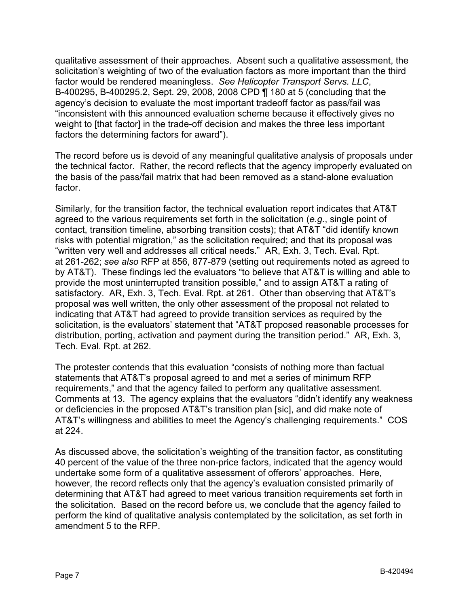qualitative assessment of their approaches. Absent such a qualitative assessment, the solicitation's weighting of two of the evaluation factors as more important than the third factor would be rendered meaningless. *See Helicopter Transport Servs. LLC*, B-400295, B-400295.2, Sept. 29, 2008, 2008 CPD ¶ 180 at 5 (concluding that the agency's decision to evaluate the most important tradeoff factor as pass/fail was "inconsistent with this announced evaluation scheme because it effectively gives no weight to [that factor] in the trade-off decision and makes the three less important factors the determining factors for award").

The record before us is devoid of any meaningful qualitative analysis of proposals under the technical factor. Rather, the record reflects that the agency improperly evaluated on the basis of the pass/fail matrix that had been removed as a stand-alone evaluation factor.

Similarly, for the transition factor, the technical evaluation report indicates that AT&T agreed to the various requirements set forth in the solicitation (*e.g.*, single point of contact, transition timeline, absorbing transition costs); that AT&T "did identify known risks with potential migration," as the solicitation required; and that its proposal was "written very well and addresses all critical needs." AR, Exh. 3, Tech. Eval. Rpt. at 261-262; *see also* RFP at 856, 877-879 (setting out requirements noted as agreed to by AT&T). These findings led the evaluators "to believe that AT&T is willing and able to provide the most uninterrupted transition possible," and to assign AT&T a rating of satisfactory. AR, Exh. 3, Tech. Eval. Rpt. at 261. Other than observing that AT&T's proposal was well written, the only other assessment of the proposal not related to indicating that AT&T had agreed to provide transition services as required by the solicitation, is the evaluators' statement that "AT&T proposed reasonable processes for distribution, porting, activation and payment during the transition period." AR, Exh. 3, Tech. Eval. Rpt. at 262.

The protester contends that this evaluation "consists of nothing more than factual statements that AT&T's proposal agreed to and met a series of minimum RFP requirements," and that the agency failed to perform any qualitative assessment. Comments at 13. The agency explains that the evaluators "didn't identify any weakness or deficiencies in the proposed AT&T's transition plan [sic], and did make note of AT&T's willingness and abilities to meet the Agency's challenging requirements." COS at 224.

As discussed above, the solicitation's weighting of the transition factor, as constituting 40 percent of the value of the three non-price factors, indicated that the agency would undertake some form of a qualitative assessment of offerors' approaches. Here, however, the record reflects only that the agency's evaluation consisted primarily of determining that AT&T had agreed to meet various transition requirements set forth in the solicitation. Based on the record before us, we conclude that the agency failed to perform the kind of qualitative analysis contemplated by the solicitation, as set forth in amendment 5 to the RFP.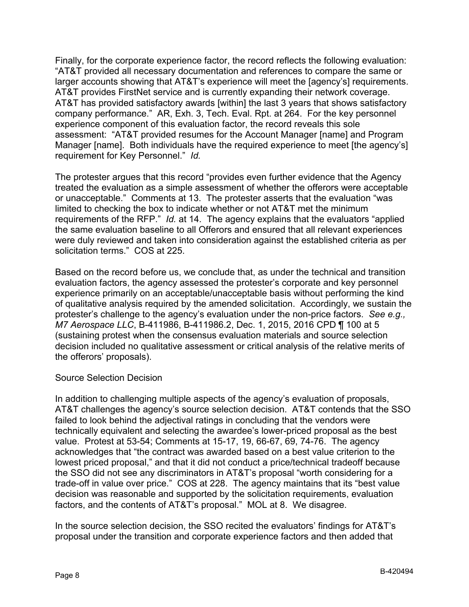Finally, for the corporate experience factor, the record reflects the following evaluation: "AT&T provided all necessary documentation and references to compare the same or larger accounts showing that AT&T's experience will meet the [agency's] requirements. AT&T provides FirstNet service and is currently expanding their network coverage. AT&T has provided satisfactory awards [within] the last 3 years that shows satisfactory company performance." AR, Exh. 3, Tech. Eval. Rpt. at 264. For the key personnel experience component of this evaluation factor, the record reveals this sole assessment: "AT&T provided resumes for the Account Manager [name] and Program Manager [name]. Both individuals have the required experience to meet [the agency's] requirement for Key Personnel." *Id.*

The protester argues that this record "provides even further evidence that the Agency treated the evaluation as a simple assessment of whether the offerors were acceptable or unacceptable." Comments at 13. The protester asserts that the evaluation "was limited to checking the box to indicate whether or not AT&T met the minimum requirements of the RFP." *Id.* at 14. The agency explains that the evaluators "applied the same evaluation baseline to all Offerors and ensured that all relevant experiences were duly reviewed and taken into consideration against the established criteria as per solicitation terms." COS at 225.

Based on the record before us, we conclude that, as under the technical and transition evaluation factors, the agency assessed the protester's corporate and key personnel experience primarily on an acceptable/unacceptable basis without performing the kind of qualitative analysis required by the amended solicitation. Accordingly, we sustain the protester's challenge to the agency's evaluation under the non-price factors. *See e.g., M7 Aerospace LLC*, B-411986, B-411986.2, Dec. 1, 2015, 2016 CPD ¶ 100 at 5 (sustaining protest when the consensus evaluation materials and source selection decision included no qualitative assessment or critical analysis of the relative merits of the offerors' proposals).

# Source Selection Decision

In addition to challenging multiple aspects of the agency's evaluation of proposals, AT&T challenges the agency's source selection decision. AT&T contends that the SSO failed to look behind the adjectival ratings in concluding that the vendors were technically equivalent and selecting the awardee's lower-priced proposal as the best value. Protest at 53-54; Comments at 15-17, 19, 66-67, 69, 74-76. The agency acknowledges that "the contract was awarded based on a best value criterion to the lowest priced proposal," and that it did not conduct a price/technical tradeoff because the SSO did not see any discriminators in AT&T's proposal "worth considering for a trade-off in value over price." COS at 228. The agency maintains that its "best value decision was reasonable and supported by the solicitation requirements, evaluation factors, and the contents of AT&T's proposal." MOL at 8. We disagree.

In the source selection decision, the SSO recited the evaluators' findings for AT&T's proposal under the transition and corporate experience factors and then added that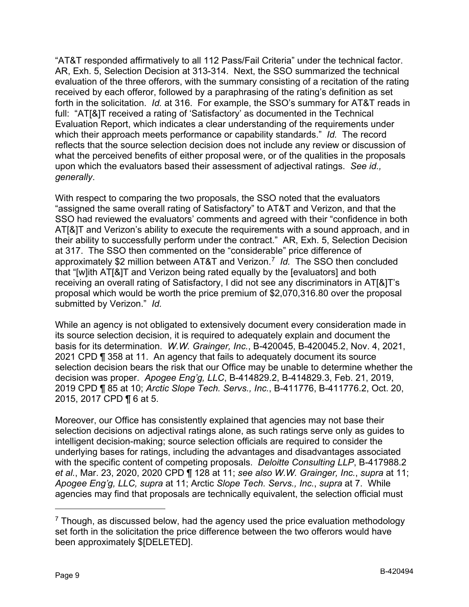"AT&T responded affirmatively to all 112 Pass/Fail Criteria" under the technical factor. AR, Exh. 5, Selection Decision at 313-314. Next, the SSO summarized the technical evaluation of the three offerors, with the summary consisting of a recitation of the rating received by each offeror, followed by a paraphrasing of the rating's definition as set forth in the solicitation. *Id.* at 316. For example, the SSO's summary for AT&T reads in full: "AT[&]T received a rating of 'Satisfactory' as documented in the Technical Evaluation Report, which indicates a clear understanding of the requirements under which their approach meets performance or capability standards." *Id.* The record reflects that the source selection decision does not include any review or discussion of what the perceived benefits of either proposal were, or of the qualities in the proposals upon which the evaluators based their assessment of adjectival ratings. *See id., generally*.

With respect to comparing the two proposals, the SSO noted that the evaluators "assigned the same overall rating of Satisfactory" to AT&T and Verizon, and that the SSO had reviewed the evaluators' comments and agreed with their "confidence in both AT[&]T and Verizon's ability to execute the requirements with a sound approach, and in their ability to successfully perform under the contract." AR, Exh. 5, Selection Decision at 317. The SSO then commented on the "considerable" price difference of approximately \$2 million between AT&T and Verizon.[7](#page-8-0) *Id.* The SSO then concluded that "[w]ith AT[&]T and Verizon being rated equally by the [evaluators] and both receiving an overall rating of Satisfactory, I did not see any discriminators in AT[&]T's proposal which would be worth the price premium of \$2,070,316.80 over the proposal submitted by Verizon." *Id.*

While an agency is not obligated to extensively document every consideration made in its source selection decision, it is required to adequately explain and document the basis for its determination. *W.W. Grainger, Inc.*, B-420045, B-420045.2, Nov. 4, 2021, 2021 CPD ¶ 358 at 11. An agency that fails to adequately document its source selection decision bears the risk that our Office may be unable to determine whether the decision was proper. *Apogee Eng'g, LLC*, B-414829.2, B-414829.3, Feb. 21, 2019, 2019 CPD ¶ 85 at 10; *Arctic Slope Tech. Servs., Inc.*, B-411776, B-411776.2, Oct. 20, 2015, 2017 CPD ¶ 6 at 5.

Moreover, our Office has consistently explained that agencies may not base their selection decisions on adjectival ratings alone, as such ratings serve only as guides to intelligent decision-making; source selection officials are required to consider the underlying bases for ratings, including the advantages and disadvantages associated with the specific content of competing proposals. *Deloitte Consulting LLP*, B-417988.2 *et al.*, Mar. 23, 2020, 2020 CPD ¶ 128 at 11; *see also W.W. Grainger, Inc.*, *supra* at 11; *Apogee Eng'g, LLC, supra* at 11; Arctic *Slope Tech. Servs., Inc.*, *supra* at 7. While agencies may find that proposals are technically equivalent, the selection official must

<span id="page-8-0"></span> $7$  Though, as discussed below, had the agency used the price evaluation methodology set forth in the solicitation the price difference between the two offerors would have been approximately \$[DELETED].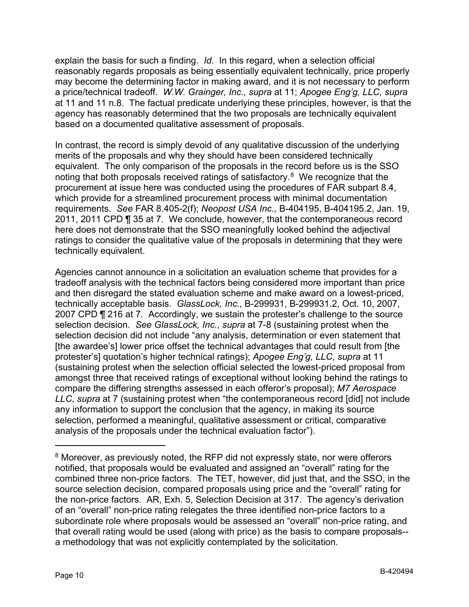explain the basis for such a finding. *Id*. In this regard, when a selection official reasonably regards proposals as being essentially equivalent technically, price properly may become the determining factor in making award, and it is not necessary to perform a price/technical tradeoff. *W.W. Grainger, Inc., supra* at 11; *Apogee Eng'g, LLC, supra*  at 11 and 11 n.8. The factual predicate underlying these principles, however, is that the agency has reasonably determined that the two proposals are technically equivalent based on a documented qualitative assessment of proposals.

In contrast, the record is simply devoid of any qualitative discussion of the underlying merits of the proposals and why they should have been considered technically equivalent. The only comparison of the proposals in the record before us is the SSO noting that both proposals received ratings of satisfactory. [8](#page-9-0) We recognize that the procurement at issue here was conducted using the procedures of FAR subpart 8.4, which provide for a streamlined procurement process with minimal documentation requirements. *See* FAR 8.405-2(f); *Neopost USA Inc.,* B-404195, B-404195.2, Jan. 19, 2011, 2011 CPD ¶ 35 at 7. We conclude, however, that the contemporaneous record here does not demonstrate that the SSO meaningfully looked behind the adjectival ratings to consider the qualitative value of the proposals in determining that they were technically equivalent.

Agencies cannot announce in a solicitation an evaluation scheme that provides for a tradeoff analysis with the technical factors being considered more important than price and then disregard the stated evaluation scheme and make award on a lowest-priced, technically acceptable basis. *GlassLock, Inc.*, B-299931, B-299931.2, Oct. 10, 2007, 2007 CPD ¶ 216 at 7. Accordingly, we sustain the protester's challenge to the source selection decision. *See GlassLock, Inc.*, *supra* at 7-8 (sustaining protest when the selection decision did not include "any analysis, determination or even statement that [the awardee's] lower price offset the technical advantages that could result from [the protester's] quotation's higher technical ratings); *Apogee Eng'g, LLC*, *supra* at 11 (sustaining protest when the selection official selected the lowest-priced proposal from amongst three that received ratings of exceptional without looking behind the ratings to compare the differing strengths assessed in each offeror's proposal); *M7 Aerospace LLC*, *supra* at 7 (sustaining protest when "the contemporaneous record [did] not include any information to support the conclusion that the agency, in making its source selection, performed a meaningful, qualitative assessment or critical, comparative analysis of the proposals under the technical evaluation factor").

<span id="page-9-0"></span><sup>8</sup> Moreover, as previously noted, the RFP did not expressly state, nor were offerors notified, that proposals would be evaluated and assigned an "overall" rating for the combined three non-price factors. The TET, however, did just that, and the SSO, in the source selection decision, compared proposals using price and the "overall" rating for the non-price factors. AR, Exh. 5, Selection Decision at 317. The agency's derivation of an "overall" non-price rating relegates the three identified non-price factors to a subordinate role where proposals would be assessed an "overall" non-price rating, and that overall rating would be used (along with price) as the basis to compare proposals- a methodology that was not explicitly contemplated by the solicitation.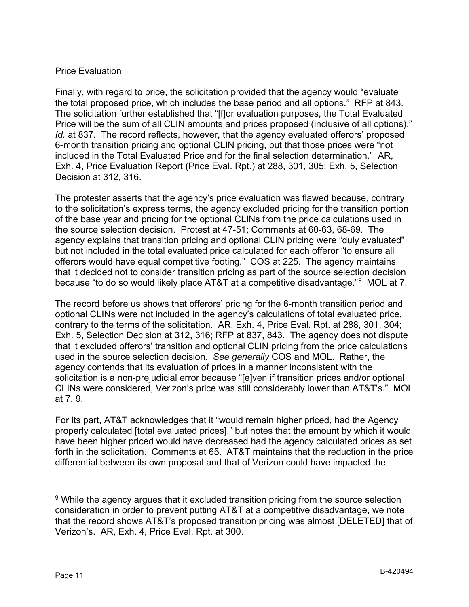# Price Evaluation

Finally, with regard to price, the solicitation provided that the agency would "evaluate the total proposed price, which includes the base period and all options." RFP at 843. The solicitation further established that "[f]or evaluation purposes, the Total Evaluated Price will be the sum of all CLIN amounts and prices proposed (inclusive of all options)." *Id.* at 837. The record reflects, however, that the agency evaluated offerors' proposed 6-month transition pricing and optional CLIN pricing, but that those prices were "not included in the Total Evaluated Price and for the final selection determination." AR, Exh. 4, Price Evaluation Report (Price Eval. Rpt.) at 288, 301, 305; Exh. 5, Selection Decision at 312, 316.

The protester asserts that the agency's price evaluation was flawed because, contrary to the solicitation's express terms, the agency excluded pricing for the transition portion of the base year and pricing for the optional CLINs from the price calculations used in the source selection decision. Protest at 47-51; Comments at 60-63, 68-69. The agency explains that transition pricing and optional CLIN pricing were "duly evaluated" but not included in the total evaluated price calculated for each offeror "to ensure all offerors would have equal competitive footing." COS at 225. The agency maintains that it decided not to consider transition pricing as part of the source selection decision because "to do so would likely place AT&T at a competitive disadvantage."[9](#page-10-0) MOL at 7.

The record before us shows that offerors' pricing for the 6-month transition period and optional CLINs were not included in the agency's calculations of total evaluated price, contrary to the terms of the solicitation. AR, Exh. 4, Price Eval. Rpt. at 288, 301, 304; Exh. 5, Selection Decision at 312, 316; RFP at 837, 843. The agency does not dispute that it excluded offerors' transition and optional CLIN pricing from the price calculations used in the source selection decision. *See generally* COS and MOL. Rather, the agency contends that its evaluation of prices in a manner inconsistent with the solicitation is a non-prejudicial error because "[e]ven if transition prices and/or optional CLINs were considered, Verizon's price was still considerably lower than AT&T's." MOL at 7, 9.

For its part, AT&T acknowledges that it "would remain higher priced, had the Agency properly calculated [total evaluated prices]," but notes that the amount by which it would have been higher priced would have decreased had the agency calculated prices as set forth in the solicitation. Comments at 65. AT&T maintains that the reduction in the price differential between its own proposal and that of Verizon could have impacted the

-

<span id="page-10-0"></span><sup>&</sup>lt;sup>9</sup> While the agency argues that it excluded transition pricing from the source selection consideration in order to prevent putting AT&T at a competitive disadvantage, we note that the record shows AT&T's proposed transition pricing was almost [DELETED] that of Verizon's. AR, Exh. 4, Price Eval. Rpt. at 300.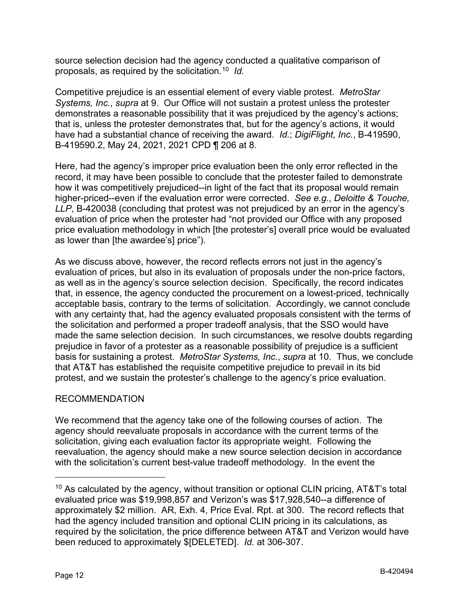source selection decision had the agency conducted a qualitative comparison of proposals, as required by the solicitation.[10](#page-11-0) *Id.*

Competitive prejudice is an essential element of every viable protest. *MetroStar Systems, Inc., supra at 9. Our Office will not sustain a protest unless the protester* demonstrates a reasonable possibility that it was prejudiced by the agency's actions; that is, unless the protester demonstrates that, but for the agency's actions, it would have had a substantial chance of receiving the award. *Id.*; *DigiFlight, Inc.*, B-419590, B-419590.2, May 24, 2021, 2021 CPD ¶ 206 at 8.

Here, had the agency's improper price evaluation been the only error reflected in the record, it may have been possible to conclude that the protester failed to demonstrate how it was competitively prejudiced--in light of the fact that its proposal would remain higher-priced--even if the evaluation error were corrected. *See e.g.*, *Deloitte & Touche, LLP*, B-420038 (concluding that protest was not prejudiced by an error in the agency's evaluation of price when the protester had "not provided our Office with any proposed price evaluation methodology in which [the protester's] overall price would be evaluated as lower than [the awardee's] price").

As we discuss above, however, the record reflects errors not just in the agency's evaluation of prices, but also in its evaluation of proposals under the non-price factors, as well as in the agency's source selection decision. Specifically, the record indicates that, in essence, the agency conducted the procurement on a lowest-priced, technically acceptable basis, contrary to the terms of solicitation. Accordingly, we cannot conclude with any certainty that, had the agency evaluated proposals consistent with the terms of the solicitation and performed a proper tradeoff analysis, that the SSO would have made the same selection decision. In such circumstances, we resolve doubts regarding prejudice in favor of a protester as a reasonable possibility of prejudice is a sufficient basis for sustaining a protest. *MetroStar Systems, Inc.*, *supra* at 10. Thus, we conclude that AT&T has established the requisite competitive prejudice to prevail in its bid protest, and we sustain the protester's challenge to the agency's price evaluation.

# RECOMMENDATION

We recommend that the agency take one of the following courses of action. The agency should reevaluate proposals in accordance with the current terms of the solicitation, giving each evaluation factor its appropriate weight. Following the reevaluation, the agency should make a new source selection decision in accordance with the solicitation's current best-value tradeoff methodology. In the event the

<span id="page-11-0"></span> $10$  As calculated by the agency, without transition or optional CLIN pricing, AT&T's total evaluated price was \$19,998,857 and Verizon's was \$17,928,540--a difference of approximately \$2 million. AR, Exh. 4, Price Eval. Rpt. at 300. The record reflects that had the agency included transition and optional CLIN pricing in its calculations, as required by the solicitation, the price difference between AT&T and Verizon would have been reduced to approximately \$[DELETED]. *Id.* at 306-307.